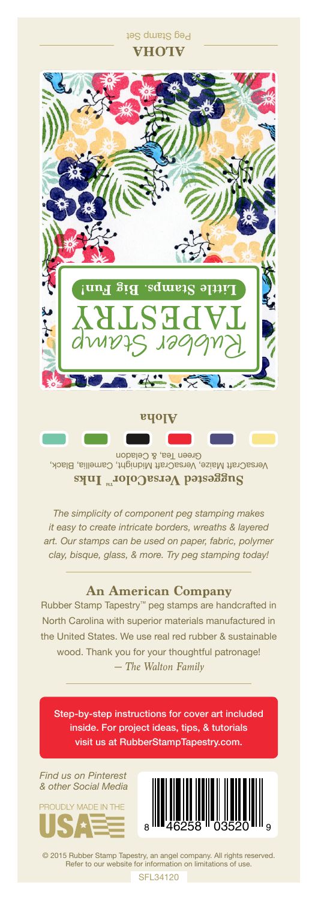

VersaCraft Maize, VersaCraft Midnight, Camellia, Black, Green Tea, & Celadon **Suggested VersaColor** Inks

*The simplicity of component peg stamping makes it easy to create intricate borders, wreaths & layered art. Our stamps can be used on paper, fabric, polymer clay, bisque, glass, & more. Try peg stamping today!*

## **An American Company**

*— The Walton Family* Rubber Stamp Tapestry™ peg stamps are handcrafted in North Carolina with superior materials manufactured in the United States. We use real red rubber & sustainable wood. Thank you for your thoughtful patronage!

Step-by-step instructions for cover art included inside. For project ideas, tips, & tutorials visit us at RubberStampTapestry.com.

*Find us on Pinterest & other Social Media*





© 2015 Rubber Stamp Tapestry, an angel company. All rights reserved. Refer to our website for information on limitations of use.